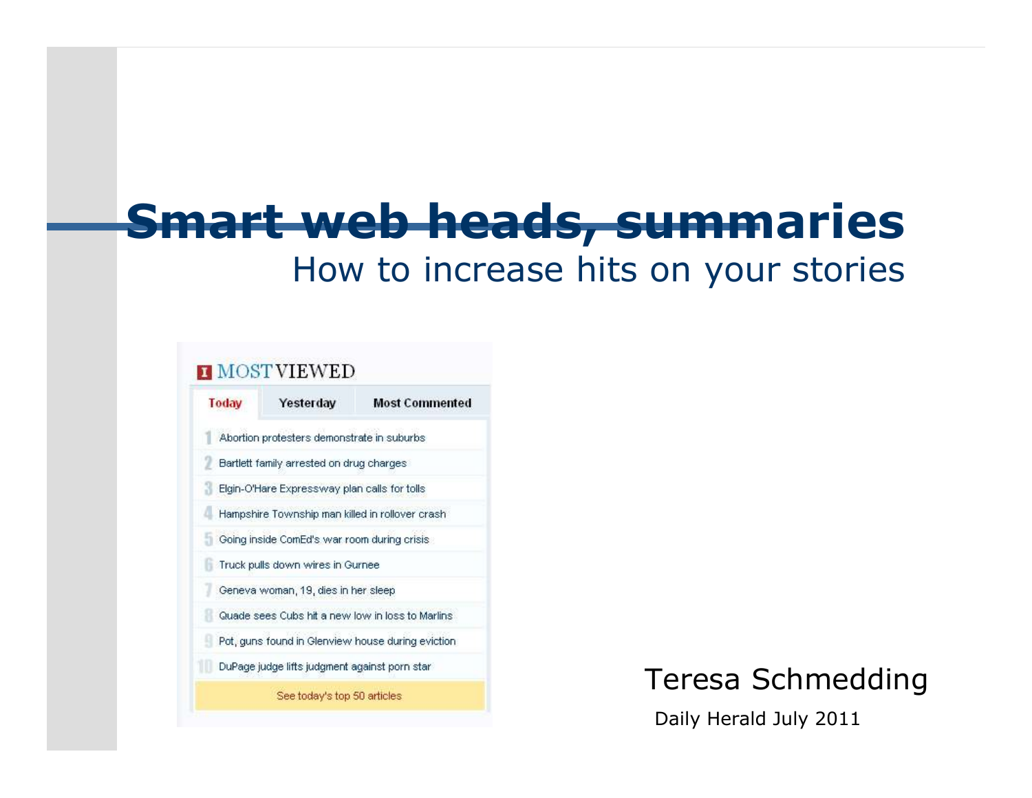#### **Smart web heads, summaries**How to increase hits on your stories

#### **H** MOSTVIEWED



#### Teresa Schmedding

Daily Herald July 2011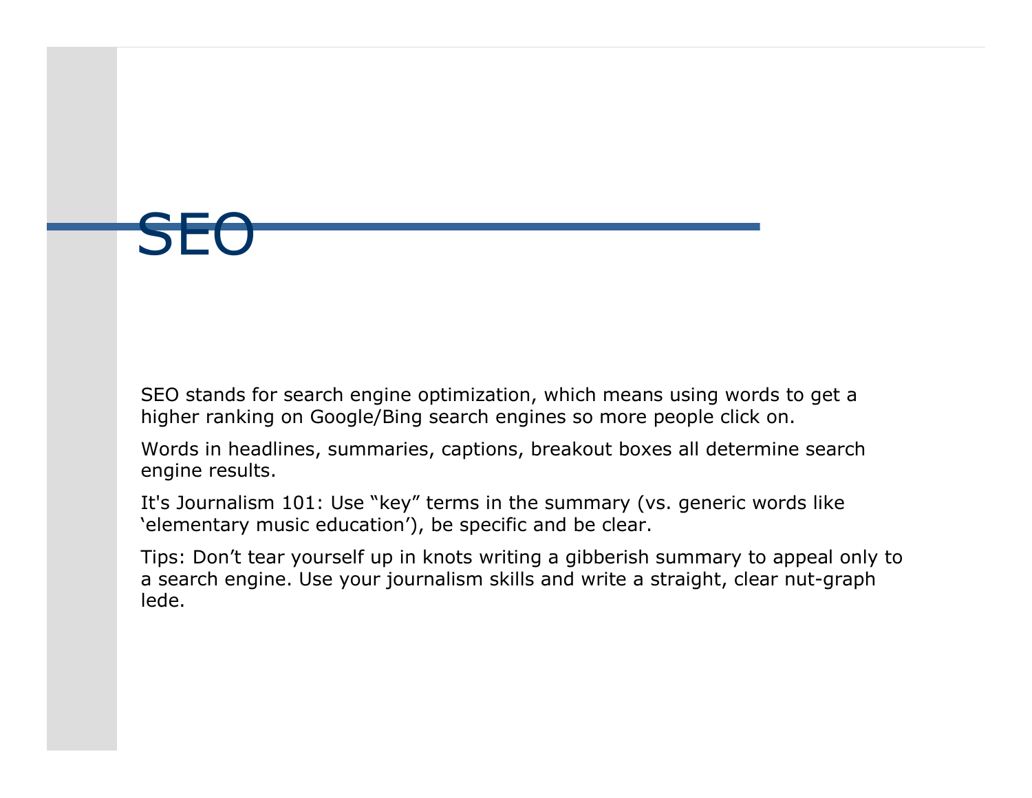SF

SEO stands for search engine optimization, which means using words to get a higher ranking on Google/Bing search engines so more people click on.

Words in headlines, summaries, captions, breakout boxes all determine search engine results.

It's Journalism 101: Use "key" terms in the summary (vs. generic words like 'elementary music education'), be specific and be clear.

Tips: Don't tear yourself up in knots writing a gibberish summary to appeal only to a search engine. Use your journalism skills and write a straight, clear nut-graph lede.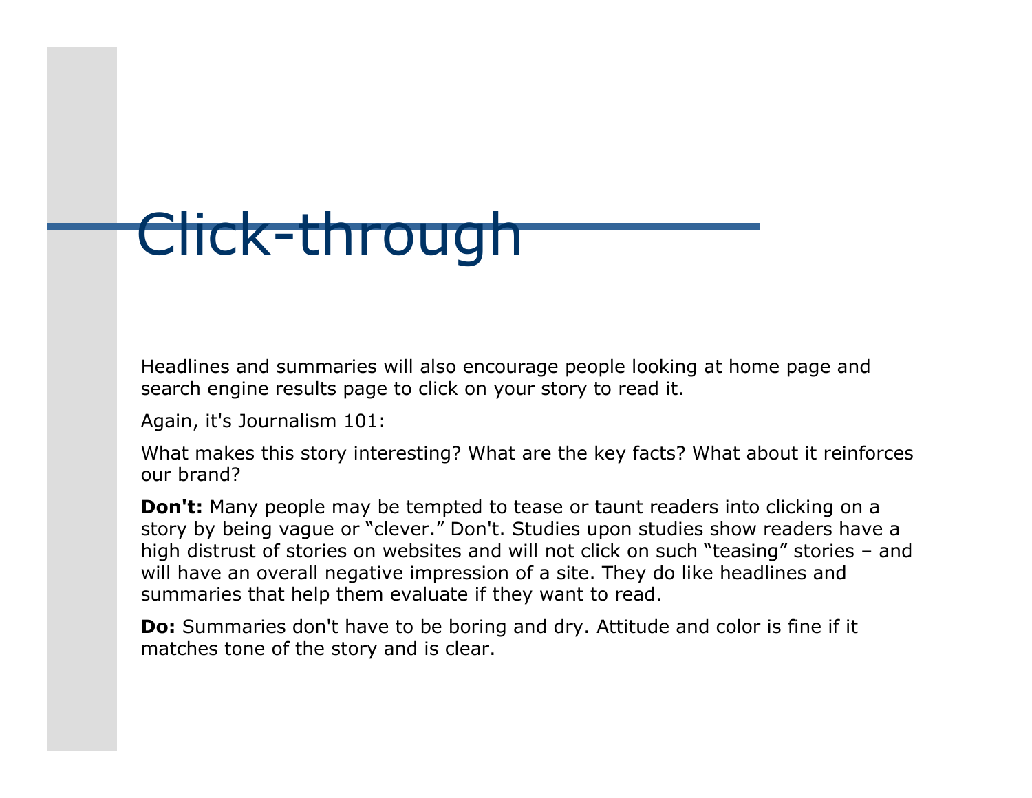# Click-through

Headlines and summaries will also encourage people looking at home page and search engine results page to click on your story to read it.

Again, it's Journalism 101:

What makes this story interesting? What are the key facts? What about it reinforces our brand?

**Don't:** Many people may be tempted to tease or taunt readers into clicking on a story by being vague or "clever." Don't. Studies upon studies show readers have a high distrust of stories on websites and will not click on such "teasing" stories - and will have an overall negative impression of a site. They do like headlines and summaries that help them evaluate if they want to read.

**Do:** Summaries don't have to be boring and dry. Attitude and color is fine if it matches tone of the story and is clear.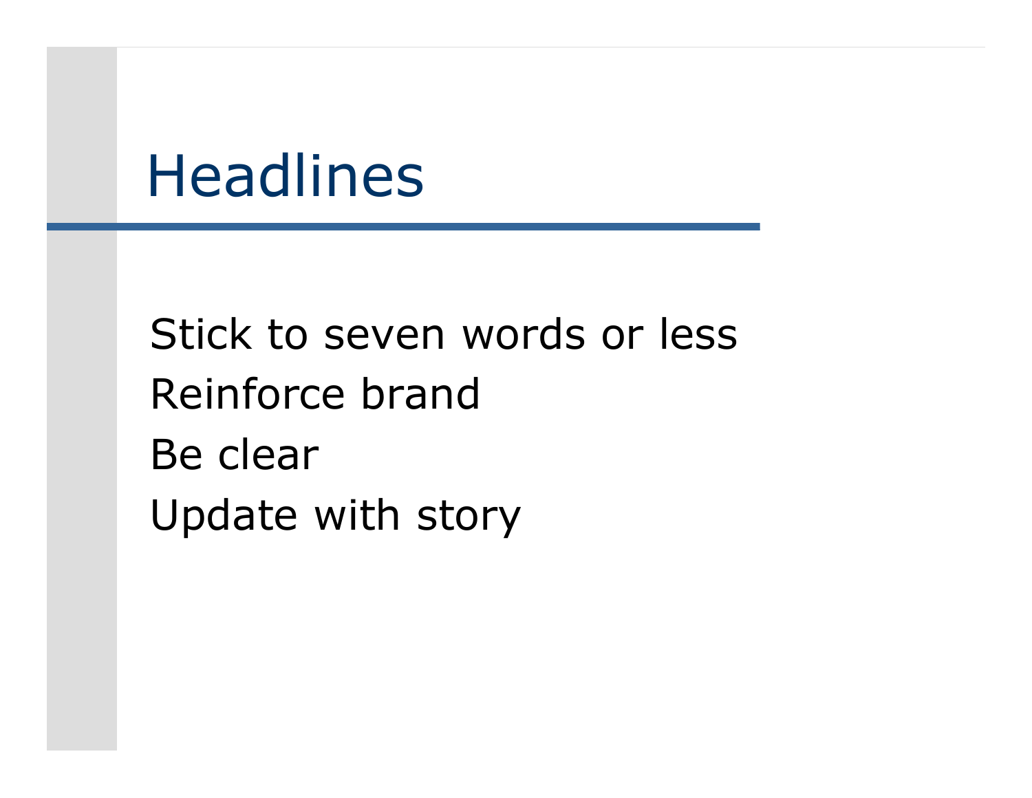### Headlines

Stick to seven words or lessReinforce brandBe clearUpdate with story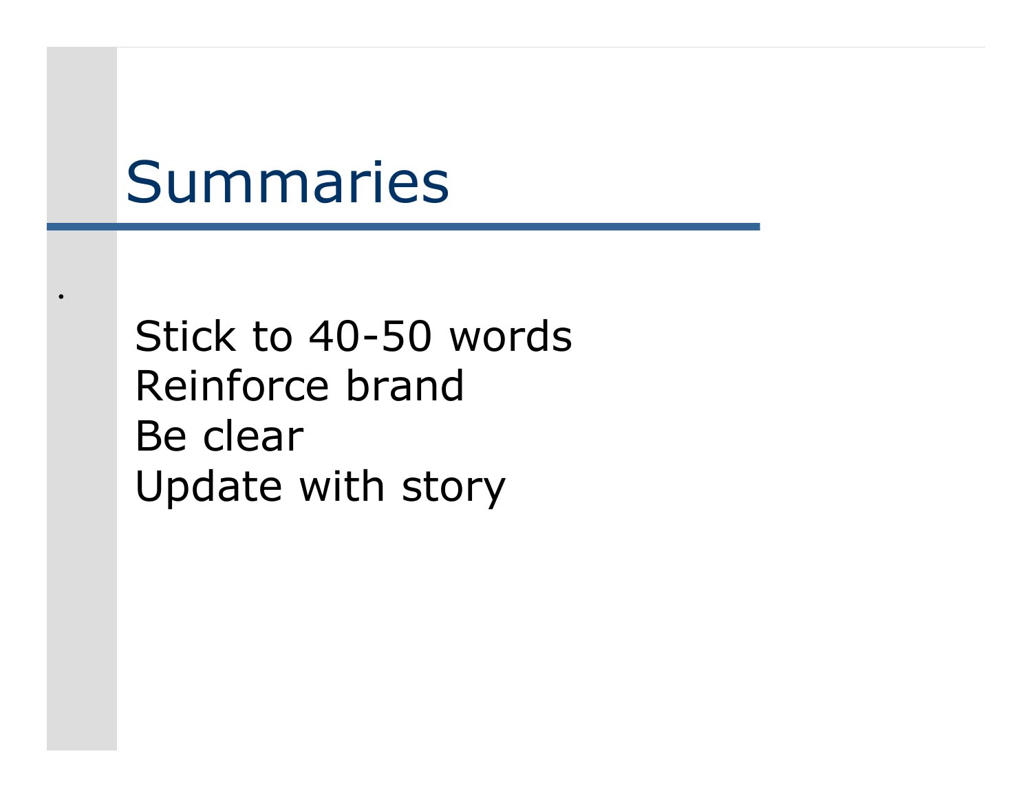### Summaries

.

Stick to 40-50 wordsReinforce brandBe clearUpdate with story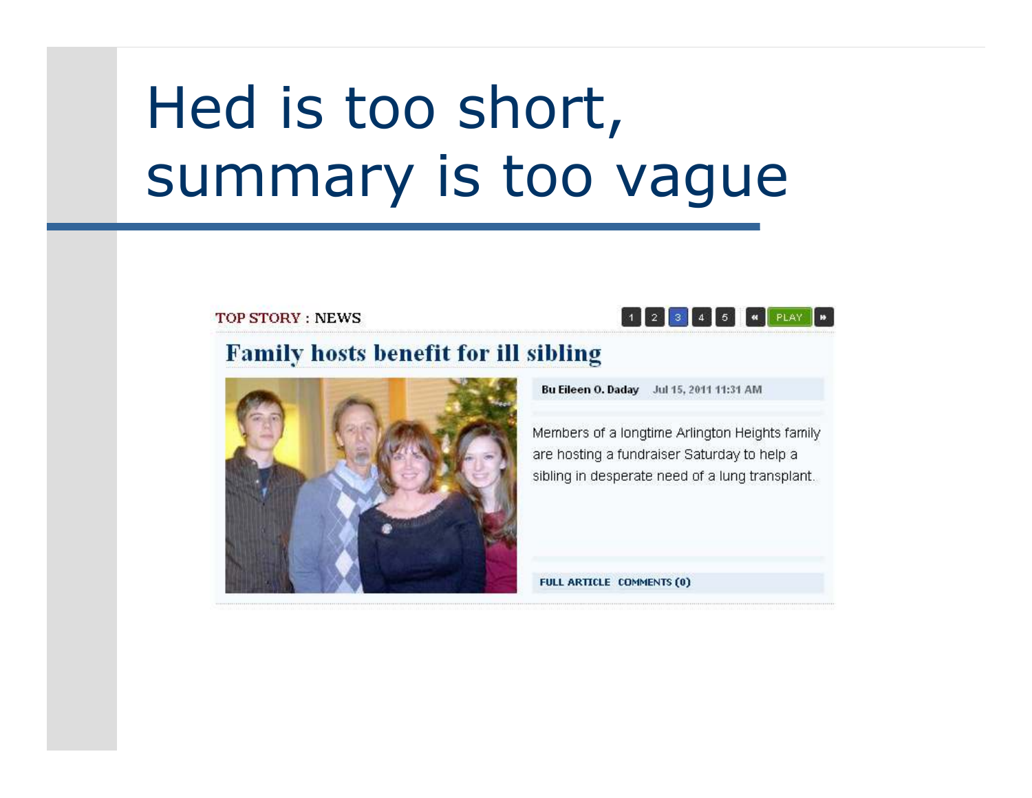## Hed is too short, summary is too vague

**TOP STORY: NEWS** 



#### **Family hosts benefit for ill sibling**



Bu Eileen O. Daday Jul 15, 2011 11:31 AM

Members of a longtime Arlington Heights family are hosting a fundraiser Saturday to help a sibling in desperate need of a lung transplant.

FULL ARTICLE COMMENTS (0)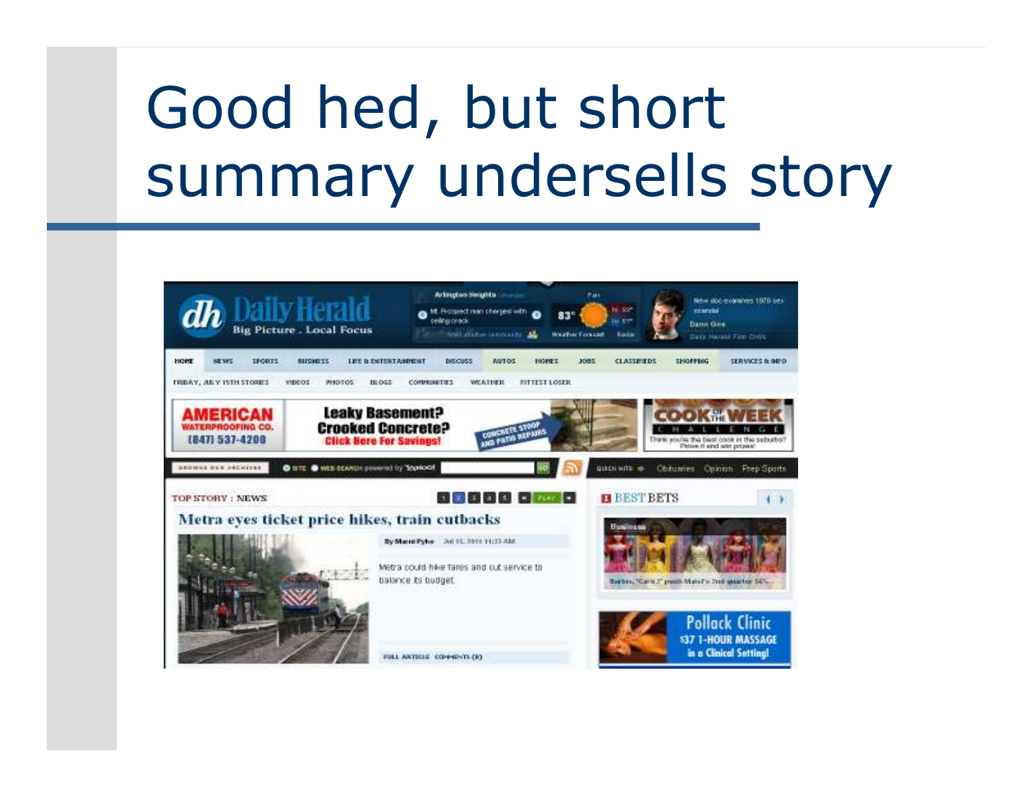# Good hed, but short summary undersells story

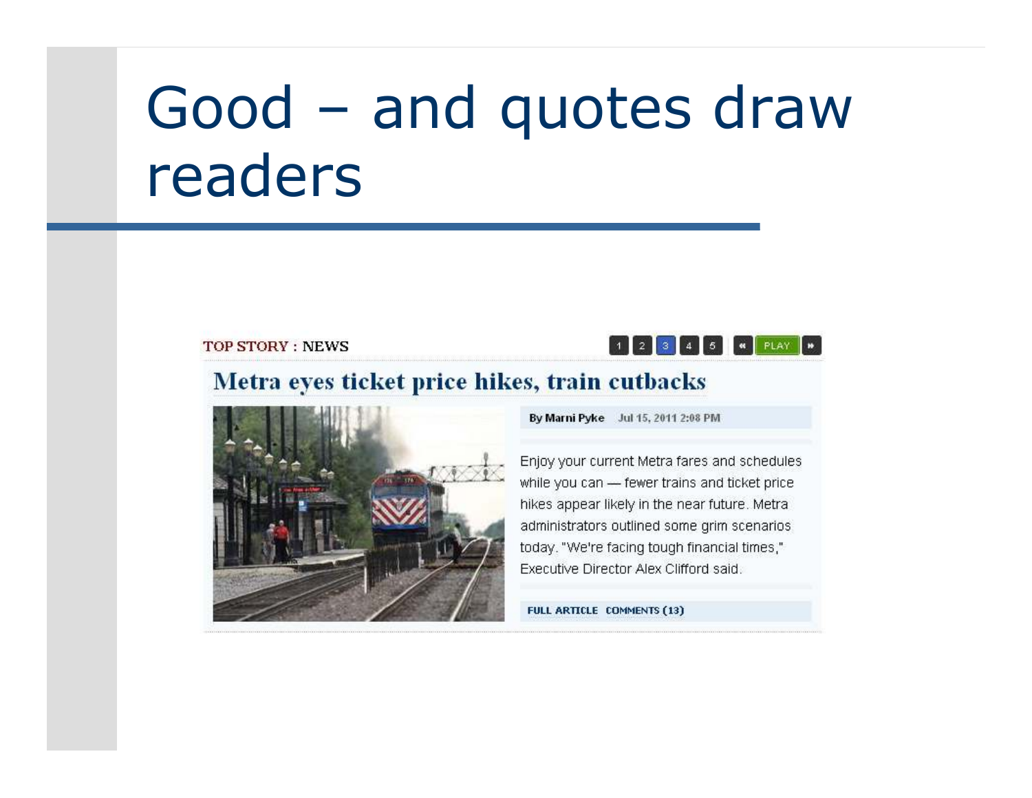### Good - and quotes draw readers

#### **TOP STORY: NEWS**



#### Metra eyes ticket price hikes, train cutbacks



By Marni Pyke Jul 15, 2011 2:08 PM

Enjoy your current Metra fares and schedules while you can - fewer trains and ticket price hikes appear likely in the near future. Metraadministrators outlined some grim scenarios today. "We're facing tough financial times," Executive Director Alex Clifford said.

FULL ARTICLE COMMENTS (13)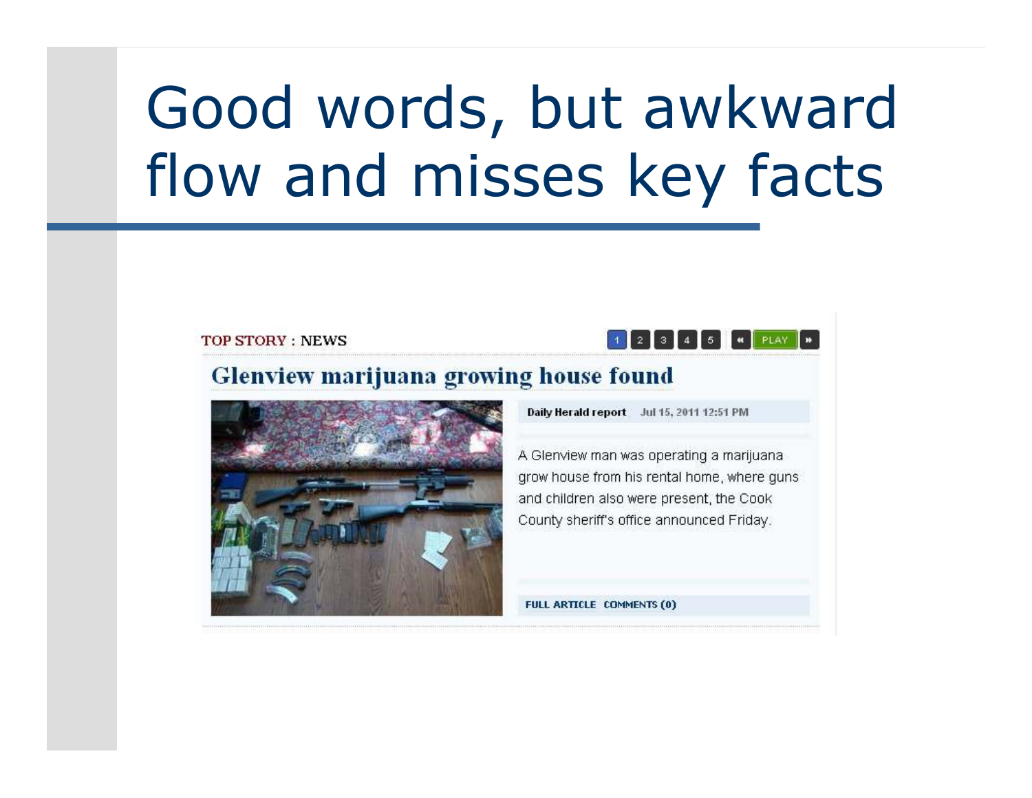### Good words, but awkward flow and misses key facts

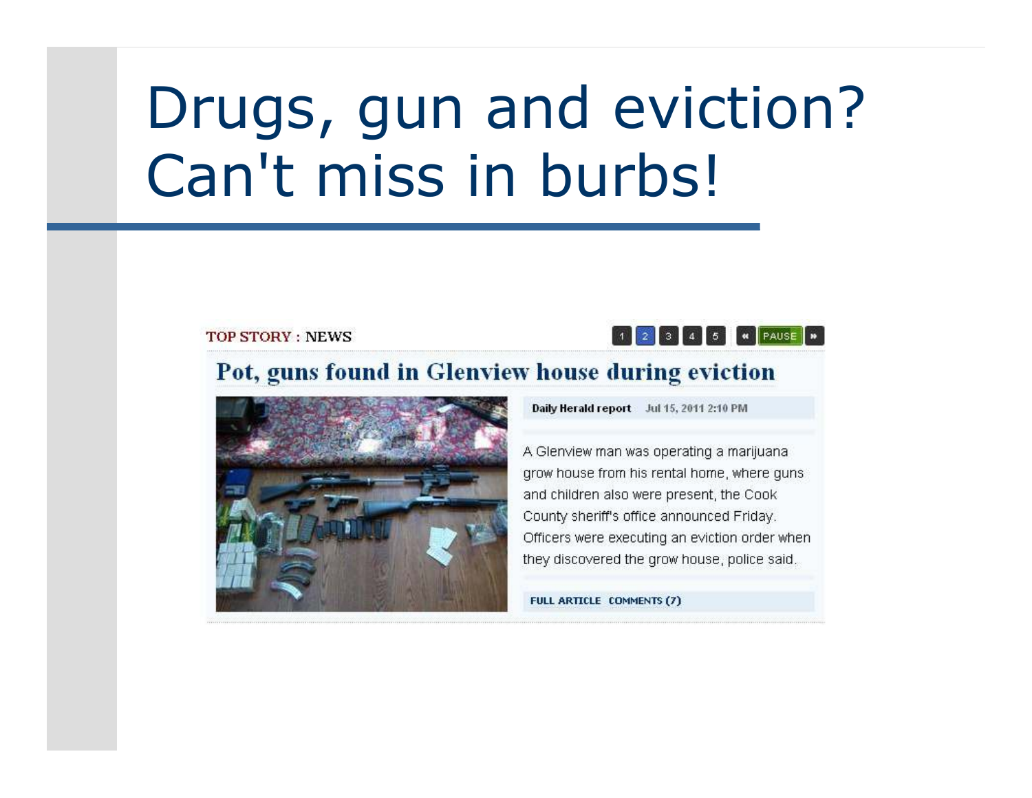## Drugs, gun and eviction? Can't miss in burbs!

**TOP STORY: NEWS** 

#### 2 3 4 5 **4 PAUSE IN**

#### Pot, guns found in Glenview house during eviction



Daily Herald report Jul 15, 2011 2:10 PM

A Glenview man was operating a marijuana grow house from his rental home, where guns and children also were present, the Cook County sheriff's office announced Friday. Officers were executing an eviction order when they discovered the grow house, police said.

FULL ARTICLE COMMENTS (7)